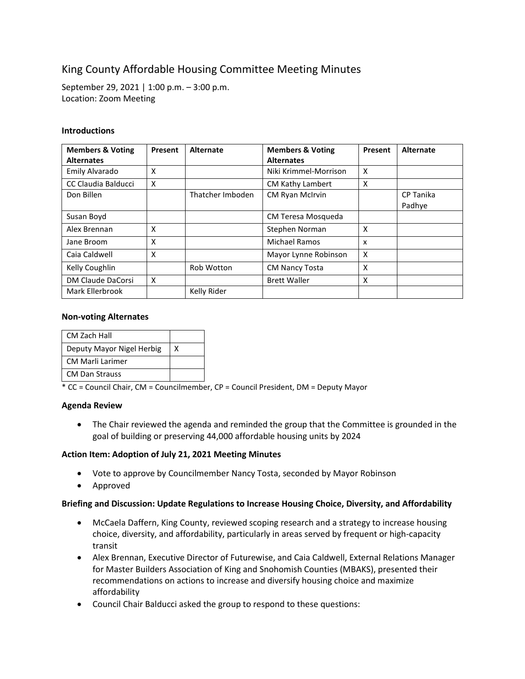# King County Affordable Housing Committee Meeting Minutes

September 29, 2021 | 1:00 p.m. – 3:00 p.m. Location: Zoom Meeting

## **Introductions**

| <b>Members &amp; Voting</b><br><b>Alternates</b> | Present | <b>Alternate</b> | <b>Members &amp; Voting</b><br><b>Alternates</b> | Present                   | Alternate           |
|--------------------------------------------------|---------|------------------|--------------------------------------------------|---------------------------|---------------------|
| Emily Alvarado                                   | X       |                  | Niki Krimmel-Morrison                            | $\boldsymbol{\mathsf{x}}$ |                     |
| CC Claudia Balducci                              | X       |                  | CM Kathy Lambert                                 | X                         |                     |
| Don Billen                                       |         | Thatcher Imboden | CM Ryan McIrvin                                  |                           | CP Tanika<br>Padhye |
| Susan Boyd                                       |         |                  | CM Teresa Mosqueda                               |                           |                     |
| Alex Brennan                                     | X       |                  | Stephen Norman                                   | X                         |                     |
| Jane Broom                                       | X       |                  | <b>Michael Ramos</b>                             | x                         |                     |
| Caia Caldwell                                    | X       |                  | Mayor Lynne Robinson                             | X                         |                     |
| Kelly Coughlin                                   |         | Rob Wotton       | <b>CM Nancy Tosta</b>                            | X                         |                     |
| DM Claude DaCorsi                                | X       |                  | <b>Brett Waller</b>                              | X                         |                     |
| Mark Ellerbrook                                  |         | Kelly Rider      |                                                  |                           |                     |

## **Non-voting Alternates**

| <b>CM Zach Hall</b>       |   |
|---------------------------|---|
| Deputy Mayor Nigel Herbig | x |
| <b>CM Marli Larimer</b>   |   |
| <b>CM Dan Strauss</b>     |   |

\* CC = Council Chair, CM = Councilmember, CP = Council President, DM = Deputy Mayor

### **Agenda Review**

• The Chair reviewed the agenda and reminded the group that the Committee is grounded in the goal of building or preserving 44,000 affordable housing units by 2024

# **Action Item: Adoption of July 21, 2021 Meeting Minutes**

- Vote to approve by Councilmember Nancy Tosta, seconded by Mayor Robinson
- Approved

### **Briefing and Discussion: Update Regulations to Increase Housing Choice, Diversity, and Affordability**

- McCaela Daffern, King County, reviewed scoping research and a strategy to increase housing choice, diversity, and affordability, particularly in areas served by frequent or high-capacity transit
- Alex Brennan, Executive Director of Futurewise, and Caia Caldwell, External Relations Manager for Master Builders Association of King and Snohomish Counties (MBAKS), presented their recommendations on actions to increase and diversify housing choice and maximize affordability
- Council Chair Balducci asked the group to respond to these questions: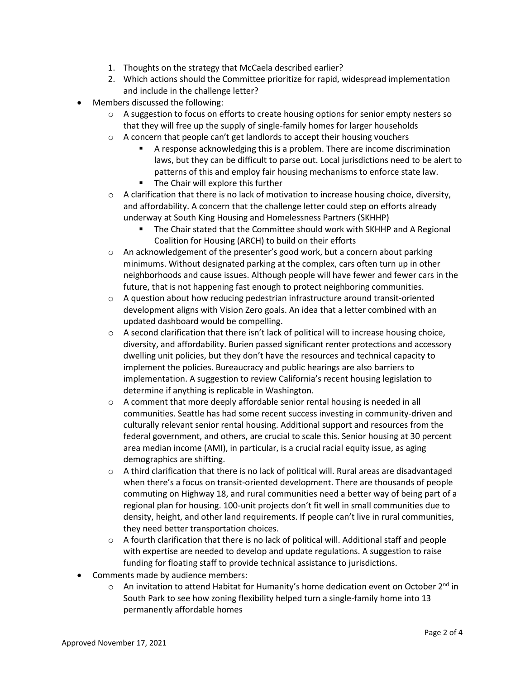- 1. Thoughts on the strategy that McCaela described earlier?
- 2. Which actions should the Committee prioritize for rapid, widespread implementation and include in the challenge letter?
- Members discussed the following:
	- $\circ$  A suggestion to focus on efforts to create housing options for senior empty nesters so that they will free up the supply of single-family homes for larger households
	- o A concern that people can't get landlords to accept their housing vouchers
		- A response acknowledging this is a problem. There are income discrimination laws, but they can be difficult to parse out. Local jurisdictions need to be alert to patterns of this and employ fair housing mechanisms to enforce state law.
		- **The Chair will explore this further**
	- $\circ$  A clarification that there is no lack of motivation to increase housing choice, diversity, and affordability. A concern that the challenge letter could step on efforts already underway at South King Housing and Homelessness Partners (SKHHP)
		- The Chair stated that the Committee should work with SKHHP and A Regional Coalition for Housing (ARCH) to build on their efforts
	- o An acknowledgement of the presenter's good work, but a concern about parking minimums. Without designated parking at the complex, cars often turn up in other neighborhoods and cause issues. Although people will have fewer and fewer cars in the future, that is not happening fast enough to protect neighboring communities.
	- $\circ$  A question about how reducing pedestrian infrastructure around transit-oriented development aligns with Vision Zero goals. An idea that a letter combined with an updated dashboard would be compelling.
	- $\circ$  A second clarification that there isn't lack of political will to increase housing choice, diversity, and affordability. Burien passed significant renter protections and accessory dwelling unit policies, but they don't have the resources and technical capacity to implement the policies. Bureaucracy and public hearings are also barriers to implementation. A suggestion to review California's recent housing legislation to determine if anything is replicable in Washington.
	- $\circ$  A comment that more deeply affordable senior rental housing is needed in all communities. Seattle has had some recent success investing in community-driven and culturally relevant senior rental housing. Additional support and resources from the federal government, and others, are crucial to scale this. Senior housing at 30 percent area median income (AMI), in particular, is a crucial racial equity issue, as aging demographics are shifting.
	- $\circ$  A third clarification that there is no lack of political will. Rural areas are disadvantaged when there's a focus on transit-oriented development. There are thousands of people commuting on Highway 18, and rural communities need a better way of being part of a regional plan for housing. 100-unit projects don't fit well in small communities due to density, height, and other land requirements. If people can't live in rural communities, they need better transportation choices.
	- $\circ$  A fourth clarification that there is no lack of political will. Additional staff and people with expertise are needed to develop and update regulations. A suggestion to raise funding for floating staff to provide technical assistance to jurisdictions.
- Comments made by audience members:
	- $\circ$  An invitation to attend Habitat for Humanity's home dedication event on October 2<sup>nd</sup> in South Park to see how zoning flexibility helped turn a single-family home into 13 permanently affordable homes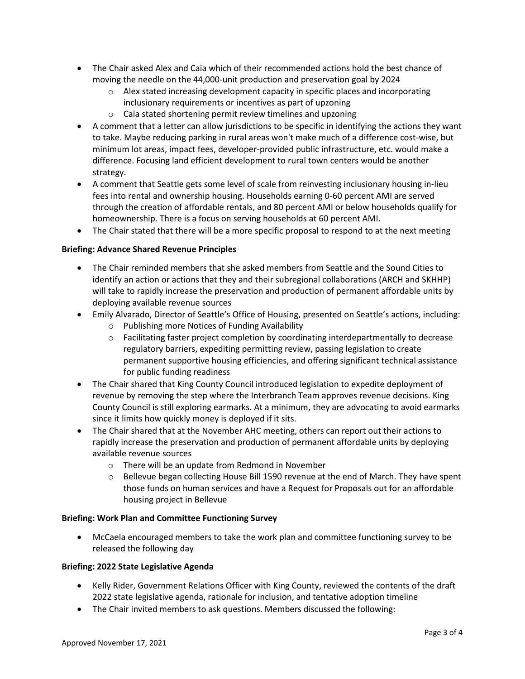- The Chair asked Alex and Caia which of their recommended actions hold the best chance of moving the needle on the 44,000-unit production and preservation goal by 2024
	- $\circ$  Alex stated increasing development capacity in specific places and incorporating inclusionary requirements or incentives as part of upzoning
	- o Caia stated shortening permit review timelines and upzoning
- A comment that a letter can allow jurisdictions to be specific in identifying the actions they want to take. Maybe reducing parking in rural areas won't make much of a difference cost-wise, but minimum lot areas, impact fees, developer-provided public infrastructure, etc. would make a difference. Focusing land efficient development to rural town centers would be another strategy.
- A comment that Seattle gets some level of scale from reinvesting inclusionary housing in-lieu fees into rental and ownership housing. Households earning 0-60 percent AMI are served through the creation of affordable rentals, and 80 percent AMI or below households qualify for homeownership. There is a focus on serving households at 60 percent AMI.
- The Chair stated that there will be a more specific proposal to respond to at the next meeting

# **Briefing: Advance Shared Revenue Principles**

- The Chair reminded members that she asked members from Seattle and the Sound Cities to identify an action or actions that they and their subregional collaborations (ARCH and SKHHP) will take to rapidly increase the preservation and production of permanent affordable units by deploying available revenue sources
- Emily Alvarado, Director of Seattle's Office of Housing, presented on Seattle's actions, including:
	- o Publishing more Notices of Funding Availability
	- o Facilitating faster project completion by coordinating interdepartmentally to decrease regulatory barriers, expediting permitting review, passing legislation to create permanent supportive housing efficiencies, and offering significant technical assistance for public funding readiness
- The Chair shared that King County Council introduced legislation to expedite deployment of revenue by removing the step where the Interbranch Team approves revenue decisions. King County Council is still exploring earmarks. At a minimum, they are advocating to avoid earmarks since it limits how quickly money is deployed if it sits.
- The Chair shared that at the November AHC meeting, others can report out their actions to rapidly increase the preservation and production of permanent affordable units by deploying available revenue sources
	- o There will be an update from Redmond in November
	- o Bellevue began collecting House Bill 1590 revenue at the end of March. They have spent those funds on human services and have a Request for Proposals out for an affordable housing project in Bellevue

### **Briefing: Work Plan and Committee Functioning Survey**

• McCaela encouraged members to take the work plan and committee functioning survey to be released the following day

# **Briefing: 2022 State Legislative Agenda**

- Kelly Rider, Government Relations Officer with King County, reviewed the contents of the draft 2022 state legislative agenda, rationale for inclusion, and tentative adoption timeline
- The Chair invited members to ask questions. Members discussed the following: